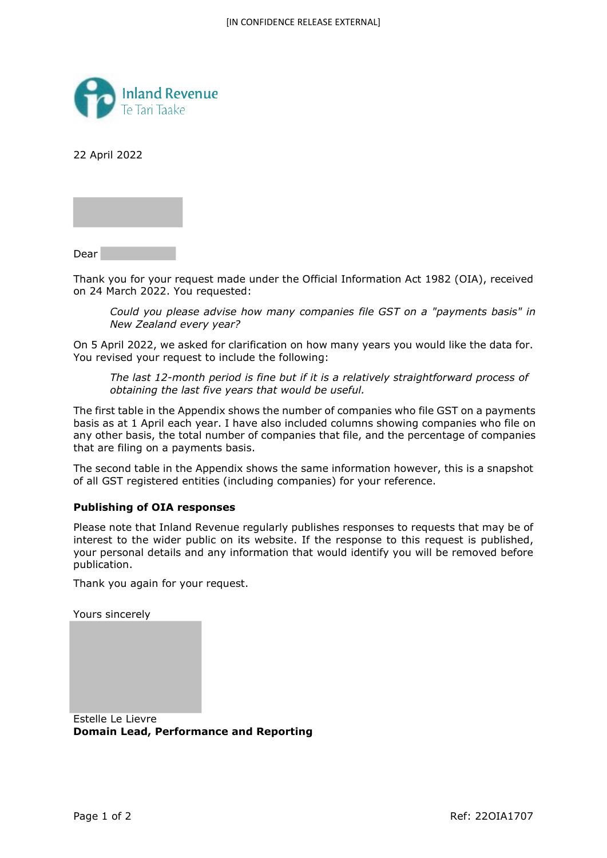

22 April 2022

Dear

Thank you for your request made under the Official Information Act 1982 (OIA), received on 24 March 2022. You requested:

*Could you please advise how many companies file GST on a "payments basis" in New Zealand every year?* 

On 5 April 2022, we asked for clarification on how many years you would like the data for. You revised your request to include the following:

*The last 12-month period is fine but if it is a relatively straightforward process of obtaining the last five years that would be useful.* 

The first table in the Appendix shows the number of companies who file GST on a payments basis as at 1 April each year. I have also included columns showing companies who file on any other basis, the total number of companies that file, and the percentage of companies that are filing on a payments basis.

The second table in the Appendix shows the same information however, this is a snapshot of all GST registered entities (including companies) for your reference.

## **Publishing of OIA responses**

Please note that Inland Revenue regularly publishes responses to requests that may be of interest to the wider public on its website. If the response to this request is published, your personal details and any information that would identify you will be removed before publication.

Thank you again for your request.

Yours sincerely

Estelle Le Lievre **Domain Lead, Performance and Reporting**